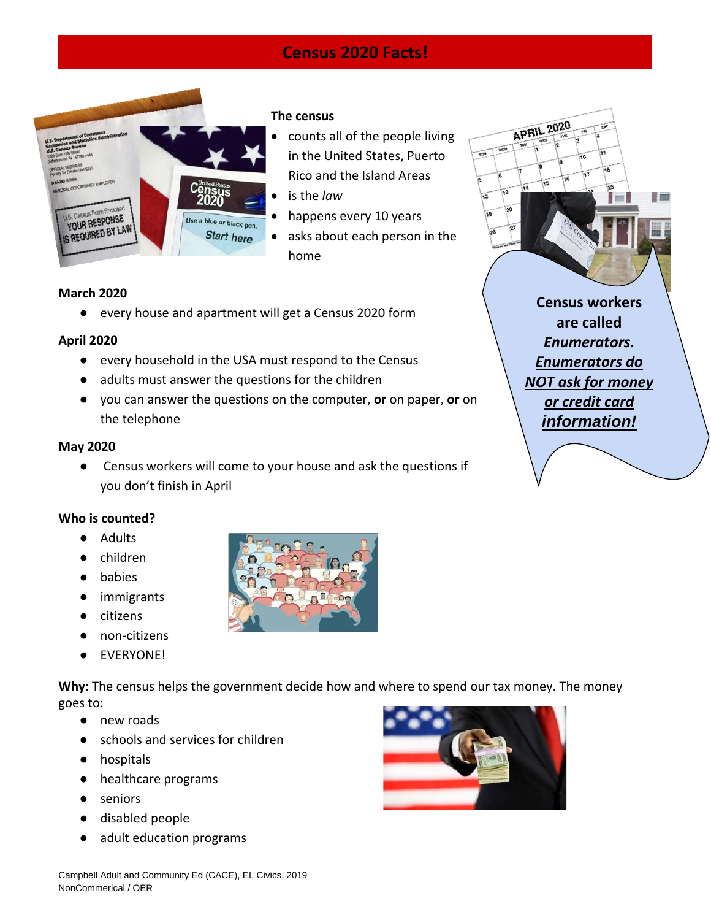# **Census 2020 Facts!**



### **The census**

- counts all of the people living in the United States, Puerto Rico and the Island Areas
- is the *law*
- happens every 10 years
- asks about each person in the home

# **March 2020**

● every house and apartment will get a Census 2020 form

### **April 2020**

- every household in the USA must respond to the Census
- adults must answer the questions for the children
- you can answer the questions on the computer, **or** on paper, **or** on the telephone

#### **May 2020**

● Census workers will come to your house and ask the questions if you don't finish in April

# **Who is counted?**

- Adults
- children
- **babies**
- immigrants
- citizens
- non-citizens
- EVERYONE!

**Why**: The census helps the government decide how and where to spend our tax money. The money goes to:

- new roads
- schools and services for children
- hospitals
- healthcare programs
- seniors
- disabled people
- adult education programs



**Census workers are called**  *Enumerators. Enumerators do NOT ask for money or credit card information!*

**APRIL 2020**